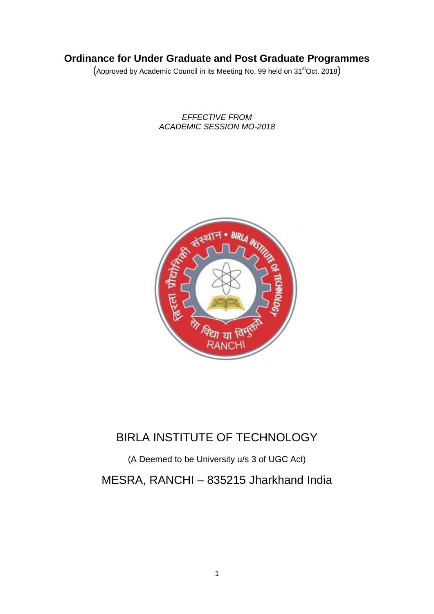# **Ordinance for Under Graduate and Post Graduate Programmes**

(Approved by Academic Council in its Meeting No. 99 held on 31<sup>st</sup>Oct. 2018)

*EFFECTIVE FROM ACADEMIC SESSION MO-2018*



# BIRLA INSTITUTE OF TECHNOLOGY

(A Deemed to be University u/s 3 of UGC Act) MESRA, RANCHI – 835215 Jharkhand India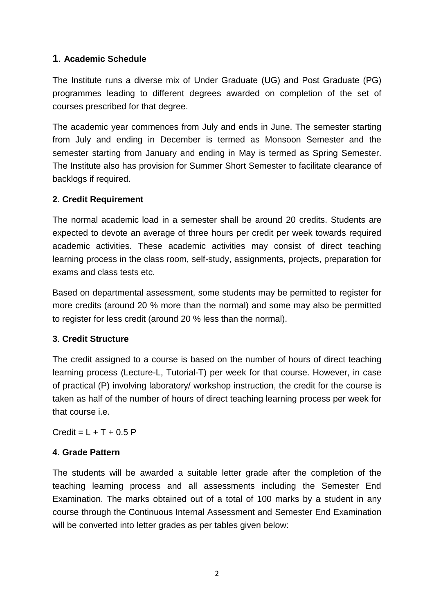# **1**. **Academic Schedule**

The Institute runs a diverse mix of Under Graduate (UG) and Post Graduate (PG) programmes leading to different degrees awarded on completion of the set of courses prescribed for that degree.

The academic year commences from July and ends in June. The semester starting from July and ending in December is termed as Monsoon Semester and the semester starting from January and ending in May is termed as Spring Semester. The Institute also has provision for Summer Short Semester to facilitate clearance of backlogs if required.

#### **2**. **Credit Requirement**

The normal academic load in a semester shall be around 20 credits. Students are expected to devote an average of three hours per credit per week towards required academic activities. These academic activities may consist of direct teaching learning process in the class room, self-study, assignments, projects, preparation for exams and class tests etc.

Based on departmental assessment, some students may be permitted to register for more credits (around 20 % more than the normal) and some may also be permitted to register for less credit (around 20 % less than the normal).

#### **3**. **Credit Structure**

The credit assigned to a course is based on the number of hours of direct teaching learning process (Lecture-L, Tutorial-T) per week for that course. However, in case of practical (P) involving laboratory/ workshop instruction, the credit for the course is taken as half of the number of hours of direct teaching learning process per week for that course i.e.

 $C$ redit =  $I + T + 0.5 P$ 

#### **4**. **Grade Pattern**

The students will be awarded a suitable letter grade after the completion of the teaching learning process and all assessments including the Semester End Examination. The marks obtained out of a total of 100 marks by a student in any course through the Continuous Internal Assessment and Semester End Examination will be converted into letter grades as per tables given below: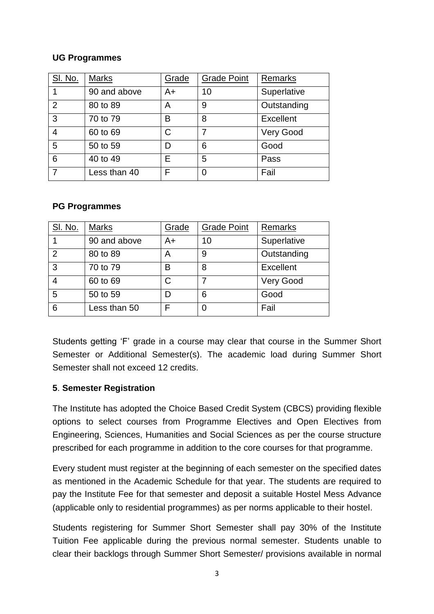#### **UG Programmes**

| <b>SI. No.</b> | <b>Marks</b> | Grade | <b>Grade Point</b> | Remarks          |
|----------------|--------------|-------|--------------------|------------------|
|                | 90 and above | A+    | 10                 | Superlative      |
| 2              | 80 to 89     | Α     | 9                  | Outstanding      |
| 3              | 70 to 79     | B     | 8                  | <b>Excellent</b> |
| 4              | 60 to 69     | С     |                    | Very Good        |
| 5              | 50 to 59     |       | 6                  | Good             |
| 6              | 40 to 49     | F     | 5                  | Pass             |
|                | Less than 40 | F     | 0                  | Fail             |

#### **PG Programmes**

| <b>SI. No.</b> | <b>Marks</b> | Grade | <b>Grade Point</b> | <b>Remarks</b>   |
|----------------|--------------|-------|--------------------|------------------|
|                | 90 and above | A+    | 10                 | Superlative      |
| $\overline{2}$ | 80 to 89     | A     | 9                  | Outstanding      |
| 3              | 70 to 79     | B     | 8                  | <b>Excellent</b> |
| $\overline{4}$ | 60 to 69     |       |                    | Very Good        |
| 5              | 50 to 59     |       | 6                  | Good             |
| 6              | Less than 50 |       |                    | Fail             |

Students getting 'F' grade in a course may clear that course in the Summer Short Semester or Additional Semester(s). The academic load during Summer Short Semester shall not exceed 12 credits.

#### **5**. **Semester Registration**

The Institute has adopted the Choice Based Credit System (CBCS) providing flexible options to select courses from Programme Electives and Open Electives from Engineering, Sciences, Humanities and Social Sciences as per the course structure prescribed for each programme in addition to the core courses for that programme.

Every student must register at the beginning of each semester on the specified dates as mentioned in the Academic Schedule for that year. The students are required to pay the Institute Fee for that semester and deposit a suitable Hostel Mess Advance (applicable only to residential programmes) as per norms applicable to their hostel.

Students registering for Summer Short Semester shall pay 30% of the Institute Tuition Fee applicable during the previous normal semester. Students unable to clear their backlogs through Summer Short Semester/ provisions available in normal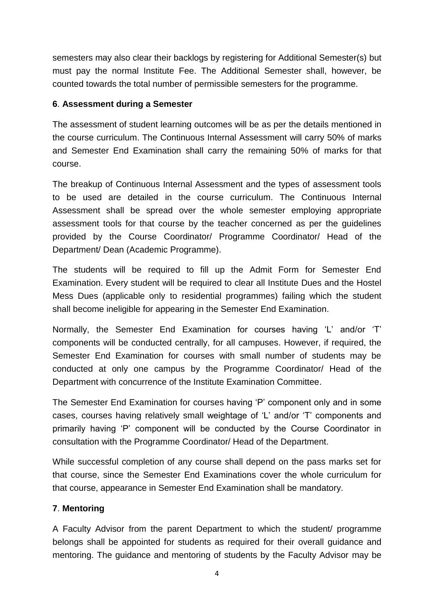semesters may also clear their backlogs by registering for Additional Semester(s) but must pay the normal Institute Fee. The Additional Semester shall, however, be counted towards the total number of permissible semesters for the programme.

#### **6**. **Assessment during a Semester**

The assessment of student learning outcomes will be as per the details mentioned in the course curriculum. The Continuous Internal Assessment will carry 50% of marks and Semester End Examination shall carry the remaining 50% of marks for that course.

The breakup of Continuous Internal Assessment and the types of assessment tools to be used are detailed in the course curriculum. The Continuous Internal Assessment shall be spread over the whole semester employing appropriate assessment tools for that course by the teacher concerned as per the guidelines provided by the Course Coordinator/ Programme Coordinator/ Head of the Department/ Dean (Academic Programme).

The students will be required to fill up the Admit Form for Semester End Examination. Every student will be required to clear all Institute Dues and the Hostel Mess Dues (applicable only to residential programmes) failing which the student shall become ineligible for appearing in the Semester End Examination.

Normally, the Semester End Examination for courses having 'L' and/or 'T' components will be conducted centrally, for all campuses. However, if required, the Semester End Examination for courses with small number of students may be conducted at only one campus by the Programme Coordinator/ Head of the Department with concurrence of the Institute Examination Committee.

The Semester End Examination for courses having 'P' component only and in some cases, courses having relatively small weightage of 'L' and/or 'T' components and primarily having 'P' component will be conducted by the Course Coordinator in consultation with the Programme Coordinator/ Head of the Department.

While successful completion of any course shall depend on the pass marks set for that course, since the Semester End Examinations cover the whole curriculum for that course, appearance in Semester End Examination shall be mandatory.

# **7**. **Mentoring**

A Faculty Advisor from the parent Department to which the student/ programme belongs shall be appointed for students as required for their overall guidance and mentoring. The guidance and mentoring of students by the Faculty Advisor may be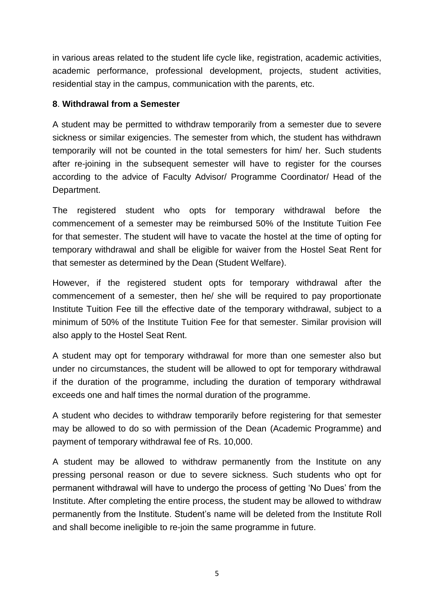in various areas related to the student life cycle like, registration, academic activities, academic performance, professional development, projects, student activities, residential stay in the campus, communication with the parents, etc.

#### **8**. **Withdrawal from a Semester**

A student may be permitted to withdraw temporarily from a semester due to severe sickness or similar exigencies. The semester from which, the student has withdrawn temporarily will not be counted in the total semesters for him/ her. Such students after re-joining in the subsequent semester will have to register for the courses according to the advice of Faculty Advisor/ Programme Coordinator/ Head of the Department.

The registered student who opts for temporary withdrawal before the commencement of a semester may be reimbursed 50% of the Institute Tuition Fee for that semester. The student will have to vacate the hostel at the time of opting for temporary withdrawal and shall be eligible for waiver from the Hostel Seat Rent for that semester as determined by the Dean (Student Welfare).

However, if the registered student opts for temporary withdrawal after the commencement of a semester, then he/ she will be required to pay proportionate Institute Tuition Fee till the effective date of the temporary withdrawal, subject to a minimum of 50% of the Institute Tuition Fee for that semester. Similar provision will also apply to the Hostel Seat Rent.

A student may opt for temporary withdrawal for more than one semester also but under no circumstances, the student will be allowed to opt for temporary withdrawal if the duration of the programme, including the duration of temporary withdrawal exceeds one and half times the normal duration of the programme.

A student who decides to withdraw temporarily before registering for that semester may be allowed to do so with permission of the Dean (Academic Programme) and payment of temporary withdrawal fee of Rs. 10,000.

A student may be allowed to withdraw permanently from the Institute on any pressing personal reason or due to severe sickness. Such students who opt for permanent withdrawal will have to undergo the process of getting 'No Dues' from the Institute. After completing the entire process, the student may be allowed to withdraw permanently from the Institute. Student's name will be deleted from the Institute Roll and shall become ineligible to re-join the same programme in future.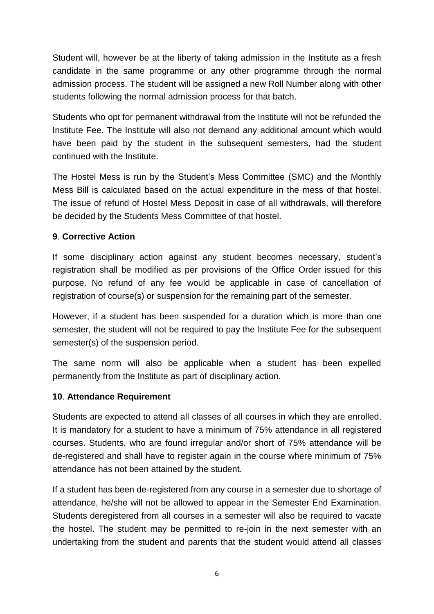Student will, however be at the liberty of taking admission in the Institute as a fresh candidate in the same programme or any other programme through the normal admission process. The student will be assigned a new Roll Number along with other students following the normal admission process for that batch.

Students who opt for permanent withdrawal from the Institute will not be refunded the Institute Fee. The Institute will also not demand any additional amount which would have been paid by the student in the subsequent semesters, had the student continued with the Institute.

The Hostel Mess is run by the Student's Mess Committee (SMC) and the Monthly Mess Bill is calculated based on the actual expenditure in the mess of that hostel. The issue of refund of Hostel Mess Deposit in case of all withdrawals, will therefore be decided by the Students Mess Committee of that hostel.

# **9**. **Corrective Action**

If some disciplinary action against any student becomes necessary, student's registration shall be modified as per provisions of the Office Order issued for this purpose. No refund of any fee would be applicable in case of cancellation of registration of course(s) or suspension for the remaining part of the semester.

However, if a student has been suspended for a duration which is more than one semester, the student will not be required to pay the Institute Fee for the subsequent semester(s) of the suspension period.

The same norm will also be applicable when a student has been expelled permanently from the Institute as part of disciplinary action.

#### **10**. **Attendance Requirement**

Students are expected to attend all classes of all courses in which they are enrolled. It is mandatory for a student to have a minimum of 75% attendance in all registered courses. Students, who are found irregular and/or short of 75% attendance will be de-registered and shall have to register again in the course where minimum of 75% attendance has not been attained by the student.

If a student has been de-registered from any course in a semester due to shortage of attendance, he/she will not be allowed to appear in the Semester End Examination. Students deregistered from all courses in a semester will also be required to vacate the hostel. The student may be permitted to re-join in the next semester with an undertaking from the student and parents that the student would attend all classes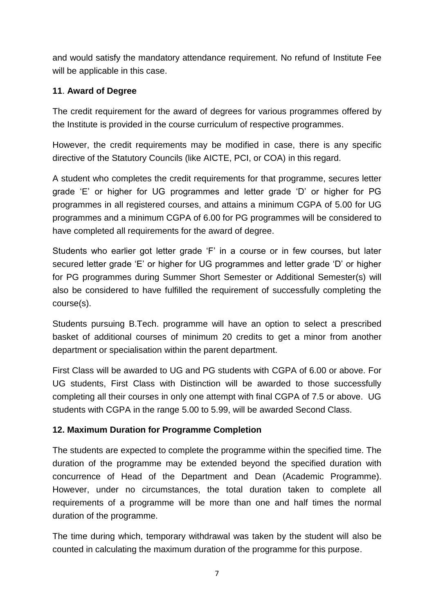and would satisfy the mandatory attendance requirement. No refund of Institute Fee will be applicable in this case.

# **11**. **Award of Degree**

The credit requirement for the award of degrees for various programmes offered by the Institute is provided in the course curriculum of respective programmes.

However, the credit requirements may be modified in case, there is any specific directive of the Statutory Councils (like AICTE, PCI, or COA) in this regard.

A student who completes the credit requirements for that programme, secures letter grade 'E' or higher for UG programmes and letter grade 'D' or higher for PG programmes in all registered courses, and attains a minimum CGPA of 5.00 for UG programmes and a minimum CGPA of 6.00 for PG programmes will be considered to have completed all requirements for the award of degree.

Students who earlier got letter grade 'F' in a course or in few courses, but later secured letter grade 'E' or higher for UG programmes and letter grade 'D' or higher for PG programmes during Summer Short Semester or Additional Semester(s) will also be considered to have fulfilled the requirement of successfully completing the course(s).

Students pursuing B.Tech. programme will have an option to select a prescribed basket of additional courses of minimum 20 credits to get a minor from another department or specialisation within the parent department.

First Class will be awarded to UG and PG students with CGPA of 6.00 or above. For UG students, First Class with Distinction will be awarded to those successfully completing all their courses in only one attempt with final CGPA of 7.5 or above. UG students with CGPA in the range 5.00 to 5.99, will be awarded Second Class.

#### **12. Maximum Duration for Programme Completion**

The students are expected to complete the programme within the specified time. The duration of the programme may be extended beyond the specified duration with concurrence of Head of the Department and Dean (Academic Programme). However, under no circumstances, the total duration taken to complete all requirements of a programme will be more than one and half times the normal duration of the programme.

The time during which, temporary withdrawal was taken by the student will also be counted in calculating the maximum duration of the programme for this purpose.